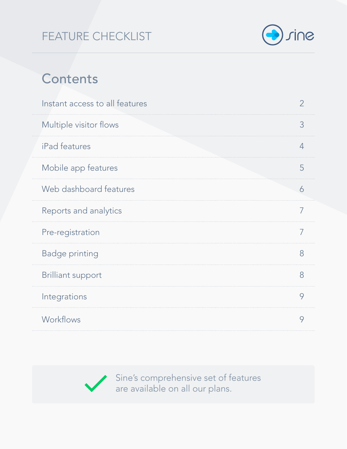# FEATURE CHECKLIST



# **Contents**

| Instant access to all features | $\overline{2}$ |
|--------------------------------|----------------|
| Multiple visitor flows         | 3              |
| iPad features                  | 4              |
| Mobile app features            | 5              |
| Web dashboard features         | 6              |
| Reports and analytics          | 7              |
| Pre-registration               | 7              |
| <b>Badge printing</b>          | 8              |
| <b>Brilliant support</b>       | 8              |
| Integrations                   | 9              |
| Workflows                      | 9              |



Sine's comprehensive set of features are available on all our plans.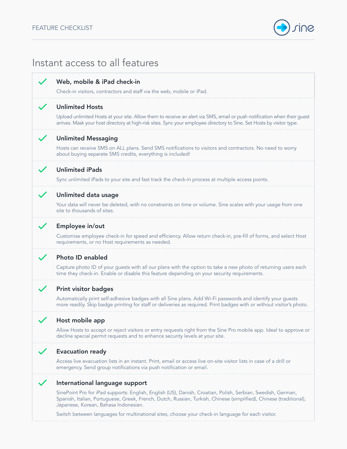

### Instant access to all features

### Web, mobile & iPad check-in

Check-in visitors, contractors and staff via the web, mobile or iPad.

### Unlimited Hosts

Upload unlimited Hosts at your site. Allow them to receive an alert via SMS, email or push notification when their guest arrives. Mask your host directory at high-risk sites. Sync your employee directory to Sine. Set Hosts by visitor type.

### Unlimited Messaging

Hosts can receive SMS on ALL plans. Send SMS notifications to visitors and contractors. No need to worry about buying separate SMS credits, everything is included!

### Unlimited iPads

Sync unlimited iPads to your site and fast track the check-in process at multiple access points.

### Unlimited data usage

Your data will never be deleted, with no constraints on time or volume. Sine scales with your usage from one site to thousands of sites.

### Employee in/out

Customise employee check-in for speed and efficiency. Allow return check-in, pre-fill of forms, and select Host requirements, or no Host requirements as needed.

#### Photo ID enabled

Capture photo ID of your guests with all our plans with the option to take a new photo of returning users each time they check-in. Enable or disable this feature depending on your security requirements.

### Print visitor badges

Automatically print self-adhesive badges with all Sine plans. Add Wi-Fi passwords and identify your guests more readily. Skip badge printing for staff or deliveries as required. Print badges with or without visitor's photo.

### Host mobile app

Allow Hosts to accept or reject visitors or entry requests right from the Sine Pro mobile app. Ideal to approve or decline special permit requests and to enhance security levels at your site.

#### Evacuation ready

Access live evacuation lists in an instant. Print, email or access live on-site visitor lists in case of a drill or emergency. Send group notifications via push notification or email.

### International language support

SinePoint Pro for iPad supports: English, English (US), Danish, Croatian, Polish, Serbian, Swedish, German, Spanish, Italian, Portuguese, Greek, French, Dutch, Russian, Turkish, Chinese (simplified), Chinese (traditional), Japanese, Korean, Bahasa Indonesian.

Switch between languages for multinational sites, choose your check-in language for each visitor.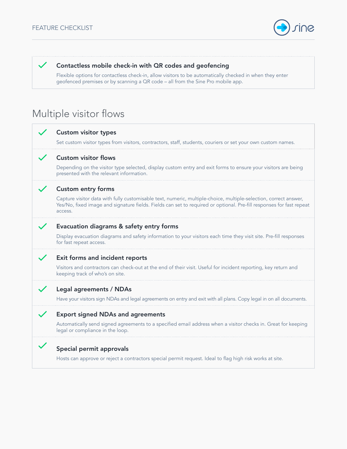

### Contactless mobile check-in with QR codes and geofencing

Flexible options for contactless check-in, allow visitors to be automatically checked in when they enter geofenced premises or by scanning a QR code – all from the Sine Pro mobile app.

## Multiple visitor flows

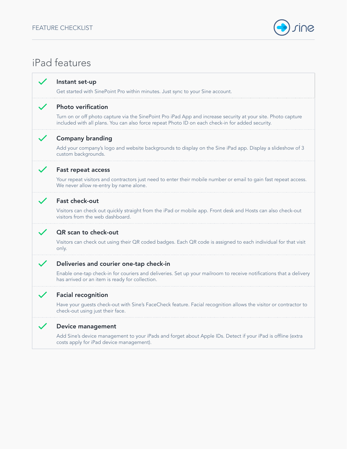

# iPad features

### Instant set-up

Get started with SinePoint Pro within minutes. Just sync to your Sine account.

### Photo verification

Turn on or off photo capture via the SinePoint Pro iPad App and increase security at your site. Photo capture included with all plans. You can also force repeat Photo ID on each check-in for added security.

### Company branding

Add your company's logo and website backgrounds to display on the Sine iPad app. Display a slideshow of 3 custom backgrounds.

### Fast repeat access

Your repeat visitors and contractors just need to enter their mobile number or email to gain fast repeat access. We never allow re-entry by name alone.

### Fast check-out

Visitors can check out quickly straight from the iPad or mobile app. Front desk and Hosts can also check-out visitors from the web dashboard.

### QR scan to check-out

Visitors can check out using their QR coded badges. Each QR code is assigned to each individual for that visit only.

### Deliveries and courier one-tap check-in

Enable one-tap check-in for couriers and deliveries. Set up your mailroom to receive notifications that a delivery has arrived or an item is ready for collection.

### Facial recognition

Have your guests check-out with Sine's FaceCheck feature. Facial recognition allows the visitor or contractor to check-out using just their face.

#### Device management

Add Sine's device management to your iPads and forget about Apple IDs. Detect if your iPad is offline (extra costs apply for iPad device management).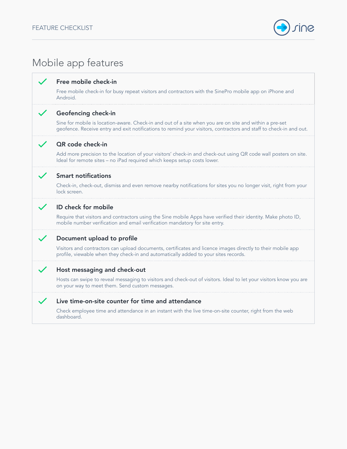

# Mobile app features

### Free mobile check-in

Free mobile check-in for busy repeat visitors and contractors with the SinePro mobile app on iPhone and Android.

### Geofencing check-in

Sine for mobile is location-aware. Check-in and out of a site when you are on site and within a pre-set geofence. Receive entry and exit notifications to remind your visitors, contractors and staff to check-in and out.

### QR code check-in

Add more precision to the location of your visitors' check-in and check-out using QR code wall posters on site. Ideal for remote sites – no iPad required which keeps setup costs lower.

### Smart notifications

Check-in, check-out, dismiss and even remove nearby notifications for sites you no longer visit, right from your lock screen.

### ID check for mobile

Require that visitors and contractors using the Sine mobile Apps have verified their identity. Make photo ID, mobile number verification and email verification mandatory for site entry.

### Document upload to profile

Visitors and contractors can upload documents, certificates and licence images directly to their mobile app profile, viewable when they check-in and automatically added to your sites records.

### Host messaging and check-out

Hosts can swipe to reveal messaging to visitors and check-out of visitors. Ideal to let your visitors know you are on your way to meet them. Send custom messages.

### Live time-on-site counter for time and attendance

Check employee time and attendance in an instant with the live time-on-site counter, right from the web dashboard.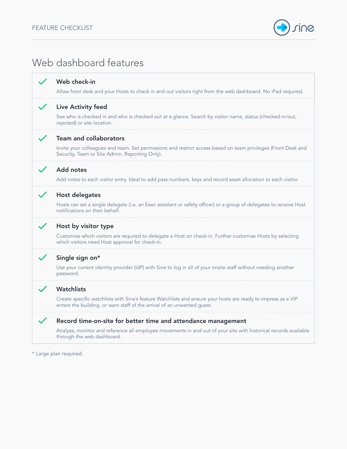

## Web dashboard features



\* Large plan required.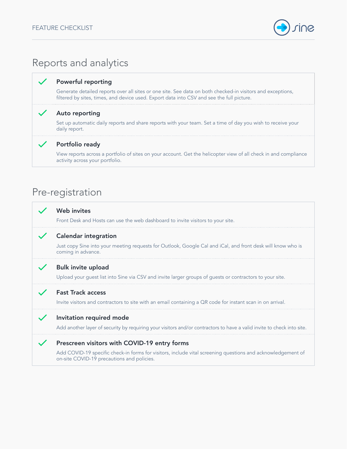

# Reports and analytics

### Powerful reporting

Generate detailed reports over all sites or one site. See data on both checked-in visitors and exceptions, filtered by sites, times, and device used. Export data into CSV and see the full picture.

### Auto reporting

Set up automatic daily reports and share reports with your team. Set a time of day you wish to receive your daily report.

### Portfolio ready

View reports across a portfolio of sites on your account. Get the helicopter view of all check in and compliance activity across your portfolio.

### Pre-registration

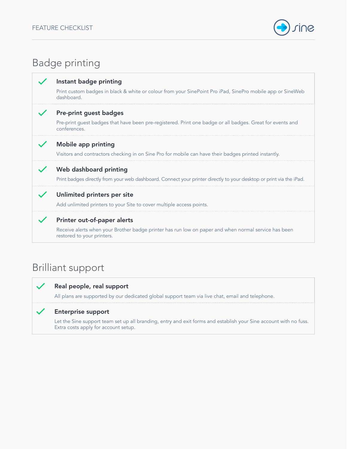

| <b>Badge printing</b> |                                                                                                                                                                   |  |  |  |
|-----------------------|-------------------------------------------------------------------------------------------------------------------------------------------------------------------|--|--|--|
|                       | Instant badge printing<br>Print custom badges in black & white or colour from your SinePoint Pro iPad, SinePro mobile app or SineWeb<br>dashboard.                |  |  |  |
|                       | Pre-print guest badges<br>Pre-print guest badges that have been pre-registered. Print one badge or all badges. Great for events and<br>conferences.               |  |  |  |
|                       | Mobile app printing<br>Visitors and contractors checking in on Sine Pro for mobile can have their badges printed instantly.                                       |  |  |  |
|                       | Web dashboard printing<br>Print badges directly from your web dashboard. Connect your printer directly to your desktop or print via the iPad.                     |  |  |  |
|                       | Unlimited printers per site<br>Add unlimited printers to your Site to cover multiple access points.                                                               |  |  |  |
|                       | Printer out-of-paper alerts<br>Receive alerts when your Brother badge printer has run low on paper and when normal service has been<br>restored to your printers. |  |  |  |

# Brilliant support

 $\checkmark$ 

 $\checkmark$ 

### Real people, real support

All plans are supported by our dedicated global support team via live chat, email and telephone.

### Enterprise support

Let the Sine support team set up all branding, entry and exit forms and establish your Sine account with no fuss. Extra costs apply for account setup.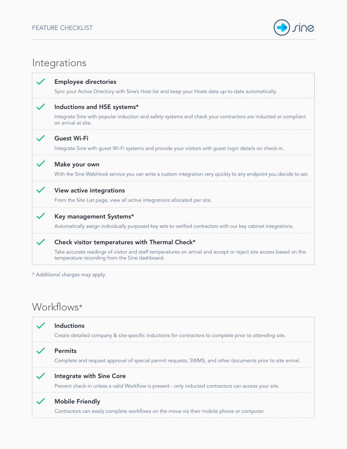

### Integrations

| <b>Employee directories</b><br>Sync your Active Directory with Sine's Host list and keep your Hosts data up-to-date automatically.                                  |
|---------------------------------------------------------------------------------------------------------------------------------------------------------------------|
| Inductions and HSE systems*                                                                                                                                         |
| Integrate Sine with popular induction and safety systems and check your contractors are inducted or compliant<br>on arrival at site.                                |
| <b>Guest Wi-Fi</b>                                                                                                                                                  |
| Integrate Sine with guest Wi-Fi systems and provide your visitors with guest login details on check-in.                                                             |
| Make your own                                                                                                                                                       |
| With the Sine WebHook service you can write a custom integration very quickly to any endpoint you decide to set.                                                    |
| <b>View active integrations</b>                                                                                                                                     |
| From the Site List page, view all active integrations allocated per site.                                                                                           |
| Key management Systems*                                                                                                                                             |
| Automatically assign individually purposed key sets to verified contractors with our key cabinet integrations.                                                      |
| Check visitor temperatures with Thermal Check*                                                                                                                      |
| Take accurate readings of visitor and staff temperatures on arrival and accept or reject site access based on the<br>temperature recording from the Sine dashboard. |

### Workflows\*